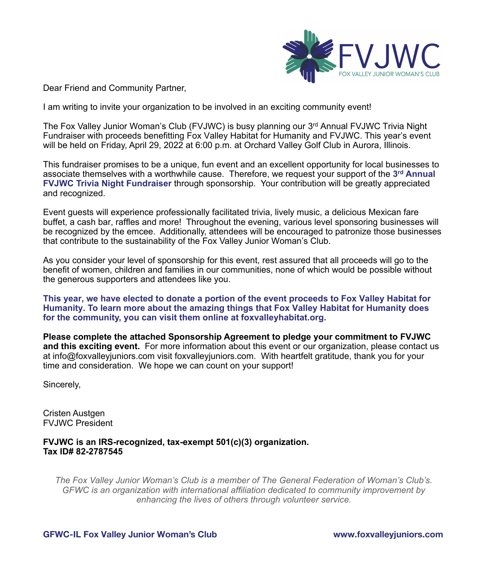

Dear Friend and Community Partner,

I am writing to invite your organization to be involved in an exciting community event!

The Fox Valley Junior Woman's Club (FVJWC) is busy planning our 3<sup>rd</sup> Annual FVJWC Trivia Night Fundraiser with proceeds benefitting Fox Valley Habitat for Humanity and FVJWC. This year's event will be held on Friday, April 29, 2022 at 6:00 p.m. at Orchard Valley Golf Club in Aurora, Illinois.

This fundraiser promises to be a unique, fun event and an excellent opportunity for local businesses to associate themselves with a worthwhile cause. Therefore, we request your support of the **3 rd Annual FVJWC Trivia Night Fundraiser** through sponsorship. Your contribution will be greatly appreciated and recognized.

Event guests will experience professionally facilitated trivia, lively music, a delicious Mexican fare buffet, a cash bar, raffles and more! Throughout the evening, various level sponsoring businesses will be recognized by the emcee. Additionally, attendees will be encouraged to patronize those businesses that contribute to the sustainability of the Fox Valley Junior Woman's Club.

As you consider your level of sponsorship for this event, rest assured that all proceeds will go to the benefit of women, children and families in our communities, none of which would be possible without the generous supporters and attendees like you.

**This year, we have elected to donate a portion of the event proceeds to Fox Valley Habitat for Humanity. To learn more about the amazing things that Fox Valley Habitat for Humanity does for the community, you can visit them online at foxvalleyhabitat.org.**

**Please complete the attached Sponsorship Agreement to pledge your commitment to FVJWC and this exciting event.** For more information about this event or our organization, please contact us at info@foxvalleyjuniors.com visit foxvalleyjuniors.com. With heartfelt gratitude, thank you for your time and consideration. We hope we can count on your support!

Sincerely,

Cristen Austgen FVJWC President

**FVJWC is an IRS-recognized, tax-exempt 501(c)(3) organization. Tax ID# 82-2787545** 

*The Fox Valley Junior Woman's Club is a member of The General Federation of Woman's Club's. GFWC is an organization with international affiliation dedicated to community improvement by enhancing the lives of others through volunteer service.*